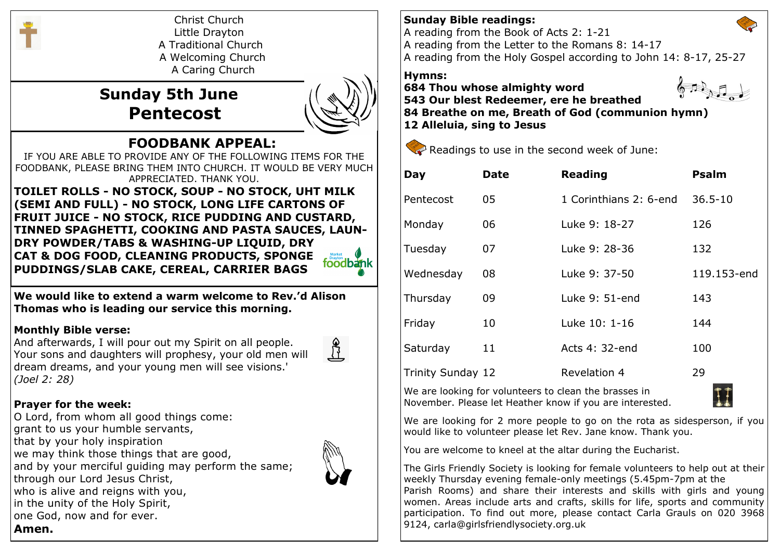

Christ Church Little Drayton A Traditional Church A Welcoming Church A Caring Church

 **Sunday 5th June Pentecost**



# **FOODBANK APPEAL:**

IF YOU ARE ABLE TO PROVIDE ANY OF THE FOLLOWING ITEMS FOR THE FOODBANK, PLEASE BRING THEM INTO CHURCH. IT WOULD BE VERY MUCH APPRECIATED. THANK YOU.

**TOILET ROLLS - NO STOCK, SOUP - NO STOCK, UHT MILK (SEMI AND FULL) - NO STOCK, LONG LIFE CARTONS OF FRUIT JUICE - NO STOCK, RICE PUDDING AND CUSTARD, TINNED SPAGHETTI, COOKING AND PASTA SAUCES, LAUN-DRY POWDER/TABS & WASHING-UP LIQUID, DRY CAT & DOG FOOD, CLEANING PRODUCTS, SPONGE**  foodbank **PUDDINGS/SLAB CAKE, CEREAL, CARRIER BAGS**

**We would like to extend a warm welcome to Rev.'d Alison Thomas who is leading our service this morning.**

### **Monthly Bible verse:**

And afterwards, I will pour out my Spirit on all people. Your sons and daughters will prophesy, your old men will dream dreams, and your young men will see visions.' *(Joel 2: 28)*



# **Prayer for the week:**

O Lord, from whom all good things come: grant to us your humble servants, that by your holy inspiration we may think those things that are good, and by your merciful guiding may perform the same; through our Lord Jesus Christ, who is alive and reigns with you, in the unity of the Holy Spirit, one God, now and for ever. **Amen.**



## **Sunday Bible readings:**

A reading from the Book of Acts 2: 1-21 A reading from the Letter to the Romans 8: 14-17

A reading from the Holy Gospel according to John 14: 8-17, 25-27

#### **Hymns:**

**684 Thou whose almighty word 543 Our blest Redeemer, ere he breathed 84 Breathe on me, Breath of God (communion hymn) 12 Alleluia, sing to Jesus**



Readings to use in the second week of June:

| Day                      | <b>Date</b> | <b>Reading</b>         | <b>Psalm</b> |
|--------------------------|-------------|------------------------|--------------|
| Pentecost                | 05          | 1 Corinthians 2: 6-end | $36.5 - 10$  |
| Monday                   | 06          | Luke 9: 18-27          | 126          |
| Tuesday                  | 07          | Luke 9: 28-36          | 132          |
| Wednesday                | 08          | Luke 9: 37-50          | 119.153-end  |
| Thursday                 | 09          | Luke 9: 51-end         | 143          |
| Friday                   | 10          | Luke 10: 1-16          | 144          |
| Saturday                 | 11          | Acts 4: 32-end         | 100          |
| <b>Trinity Sunday 12</b> |             | <b>Revelation 4</b>    | 29           |

We are looking for volunteers to clean the brasses in November. Please let Heather know if you are interested.



We are looking for 2 more people to go on the rota as sidesperson, if you would like to volunteer please let Rev. Jane know. Thank you.

You are welcome to kneel at the altar during the Eucharist.

The Girls Friendly Society is looking for female volunteers to help out at their weekly Thursday evening female-only meetings (5.45pm-7pm at the Parish Rooms) and share their interests and skills with girls and young women. Areas include arts and crafts, skills for life, sports and community participation. To find out more, please contact Carla Grauls on 020 3968 9124, carla@girlsfriendlysociety.org.uk